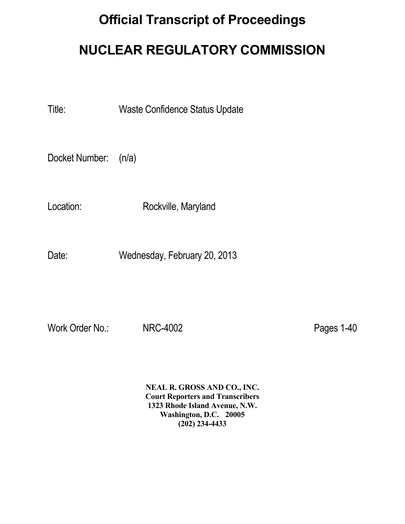# **Official Transcript of Proceedings NUCLEAR REGULATORY COMMISSION**

Title: Waste Confidence Status Update

Docket Number: (n/a)

Location: Rockville, Maryland

Date: Wednesday, February 20, 2013

Work Order No.: NRC-4002 Pages 1-40

 **NEAL R. GROSS AND CO., INC. Court Reporters and Transcribers 1323 Rhode Island Avenue, N.W. Washington, D.C. 20005 (202) 234-4433**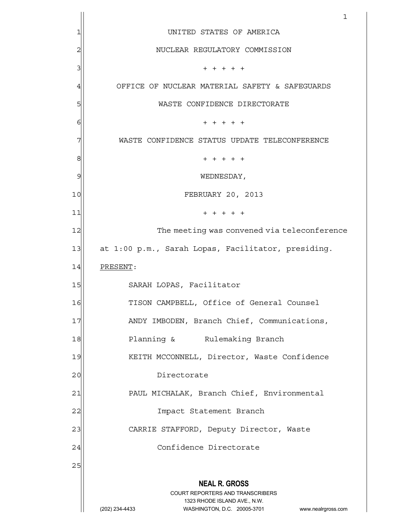|    | 1                                                                                                   |
|----|-----------------------------------------------------------------------------------------------------|
| 1  | UNITED STATES OF AMERICA                                                                            |
| 2  | NUCLEAR REGULATORY COMMISSION                                                                       |
| 3  | $+ + + + + +$                                                                                       |
| 4  | OFFICE OF NUCLEAR MATERIAL SAFETY & SAFEGUARDS                                                      |
| 5  | WASTE CONFIDENCE DIRECTORATE                                                                        |
| 6  | $+ + + + +$                                                                                         |
| 7  | WASTE CONFIDENCE STATUS UPDATE TELECONFERENCE                                                       |
| 8  | $+ + + + + +$                                                                                       |
| 9  | WEDNESDAY,                                                                                          |
| 10 | FEBRUARY 20, 2013                                                                                   |
| 11 | $+ + + + + +$                                                                                       |
| 12 | The meeting was convened via teleconference                                                         |
| 13 | at 1:00 p.m., Sarah Lopas, Facilitator, presiding.                                                  |
| 14 | PRESENT:                                                                                            |
| 15 | SARAH LOPAS, Facilitator                                                                            |
| 16 | TISON CAMPBELL, Office of General Counsel                                                           |
| 17 | ANDY IMBODEN, Branch Chief, Communications,                                                         |
| 18 | Planning & Rulemaking Branch                                                                        |
| 19 | KEITH MCCONNELL, Director, Waste Confidence                                                         |
| 20 | Directorate                                                                                         |
| 21 | PAUL MICHALAK, Branch Chief, Environmental                                                          |
| 22 | Impact Statement Branch                                                                             |
| 23 | CARRIE STAFFORD, Deputy Director, Waste                                                             |
| 24 | Confidence Directorate                                                                              |
| 25 |                                                                                                     |
|    | <b>NEAL R. GROSS</b>                                                                                |
|    | <b>COURT REPORTERS AND TRANSCRIBERS</b>                                                             |
|    | 1323 RHODE ISLAND AVE., N.W.<br>(202) 234-4433<br>WASHINGTON, D.C. 20005-3701<br>www.nealrgross.com |
|    |                                                                                                     |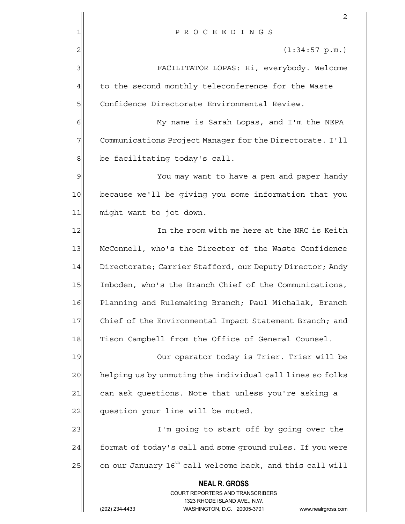|    | 2                                                                       |
|----|-------------------------------------------------------------------------|
| 1  | PROCEEDINGS                                                             |
| 2  | (1:34:57 p.m.)                                                          |
| 3  | FACILITATOR LOPAS: Hi, everybody. Welcome                               |
| 4  | to the second monthly teleconference for the Waste                      |
| 5  | Confidence Directorate Environmental Review.                            |
| 6  | My name is Sarah Lopas, and I'm the NEPA                                |
| 7  | Communications Project Manager for the Directorate. I'll                |
| 8  | be facilitating today's call.                                           |
| 9  | You may want to have a pen and paper handy                              |
| 10 | because we'll be giving you some information that you                   |
| 11 | might want to jot down.                                                 |
| 12 | In the room with me here at the NRC is Keith                            |
| 13 | McConnell, who's the Director of the Waste Confidence                   |
| 14 | Directorate; Carrier Stafford, our Deputy Director; Andy                |
| 15 | Imboden, who's the Branch Chief of the Communications,                  |
| 16 | Planning and Rulemaking Branch; Paul Michalak, Branch                   |
| 17 | Chief of the Environmental Impact Statement Branch; and                 |
| 18 | Tison Campbell from the Office of General Counsel.                      |
| 19 | Our operator today is Trier. Trier will be                              |
| 20 | helping us by unmuting the individual call lines so folks               |
| 21 | can ask questions. Note that unless you're asking a                     |
| 22 | question your line will be muted.                                       |
| 23 | I'm going to start off by going over the                                |
| 24 | format of today's call and some ground rules. If you were               |
| 25 | on our January 16 <sup>th</sup> call welcome back, and this call will   |
|    | <b>NEAL R. GROSS</b>                                                    |
|    | <b>COURT REPORTERS AND TRANSCRIBERS</b><br>1323 RHODE ISLAND AVE., N.W. |
|    | (202) 234-4433<br>WASHINGTON, D.C. 20005-3701<br>www.nealrgross.com     |
|    |                                                                         |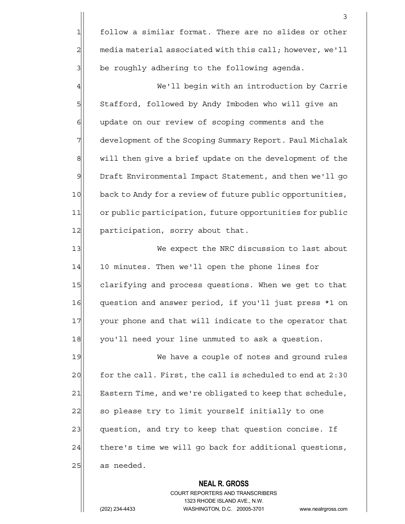1 follow a similar format. There are no slides or other  $2$  media material associated with this call; however, we'll 3| be roughly adhering to the following agenda.

4 We'll begin with an introduction by Carrie 5 Stafford, followed by Andy Imboden who will give an  $6$  update on our review of scoping comments and the 7 development of the Scoping Summary Report. Paul Michalak 8 will then give a brief update on the development of the 9 Draft Environmental Impact Statement, and then we'll go 10 back to Andy for a review of future public opportunities, 11 or public participation, future opportunities for public 12 participation, sorry about that.

13 We expect the NRC discussion to last about 14 10 minutes. Then we'll open the phone lines for 15 clarifying and process questions. When we get to that 16 question and answer period, if you'll just press \*1 on 17 your phone and that will indicate to the operator that 18 you'll need your line unmuted to ask a question.

19 We have a couple of notes and ground rules  $20$  for the call. First, the call is scheduled to end at  $2:30$ 21 Eastern Time, and we're obligated to keep that schedule, 22 so please try to limit yourself initially to one 23 question, and try to keep that question concise. If  $24$  there's time we will go back for additional questions,  $25$  as needed.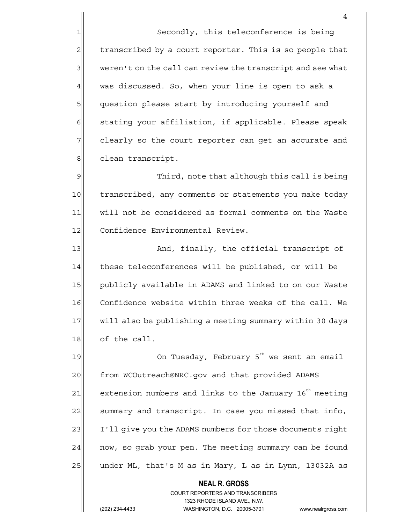1 Secondly, this teleconference is being 2 transcribed by a court reporter. This is so people that  $3$  weren't on the call can review the transcript and see what  $4$  was discussed. So, when your line is open to ask a 5 5 5 5 suestion please start by introducing yourself and 6 stating your affiliation, if applicable. Please speak  $7$  clearly so the court reporter can get an accurate and 8 clean transcript.

9 9 Third, note that although this call is being 10 transcribed, any comments or statements you make today 11 will not be considered as formal comments on the Waste 12 Confidence Environmental Review.

13 And, finally, the official transcript of 14 these teleconferences will be published, or will be 15 publicly available in ADAMS and linked to on our Waste 16 Confidence website within three weeks of the call. We 17 will also be publishing a meeting summary within 30 days 18 of the call.

19  $\vert$  0n Tuesday, February 5<sup>th</sup> we sent an email 20 from WCOutreach@NRC.gov and that provided ADAMS  $21$  extension numbers and links to the January 16<sup>th</sup> meeting 22 summary and transcript. In case you missed that info, 23 I'll give you the ADAMS numbers for those documents right 24 | now, so grab your pen. The meeting summary can be found 25 under ML, that's M as in Mary, L as in Lynn, 13032A as

> COURT REPORTERS AND TRANSCRIBERS 1323 RHODE ISLAND AVE., N.W. (202) 234-4433 WASHINGTON, D.C. 20005-3701 www.nealrgross.com

 **NEAL R. GROSS**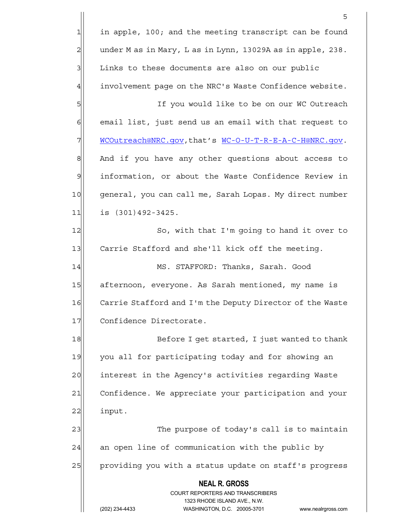**NEAL R. GROSS** COURT REPORTERS AND TRANSCRIBERS 1323 RHODE ISLAND AVE., N.W. (202) 234-4433 WASHINGTON, D.C. 20005-3701 www.nealrgross.com <u>5</u>  $1$  in apple, 100; and the meeting transcript can be found  $2$  under M as in Mary, L as in Lynn, 13029A as in apple, 238. 3 | Links to these documents are also on our public 4 involvement page on the NRC's Waste Confidence website. 5| If you would like to be on our WC Outreach 6 6 6 email list, just send us an email with that request to 7 MCOutreach@NRC.gov,that's WC-O-U-T-R-E-A-C-H@NRC.gov. 8 And if you have any other questions about access to 9 | information, or about the Waste Confidence Review in 10 general, you can call me, Sarah Lopas. My direct number 11 is (301) 492-3425. 12 So, with that I'm going to hand it over to 13 Carrie Stafford and she'll kick off the meeting. 14 MS. STAFFORD: Thanks, Sarah. Good 15 afternoon, everyone. As Sarah mentioned, my name is 16 Carrie Stafford and I'm the Deputy Director of the Waste 17 Confidence Directorate. 18 Before I get started, I just wanted to thank 19 you all for participating today and for showing an 20 interest in the Agency's activities regarding Waste 21 Confidence. We appreciate your participation and your 22 input. 23  $\vert$  The purpose of today's call is to maintain  $24$  an open line of communication with the public by 25 providing you with a status update on staff's progress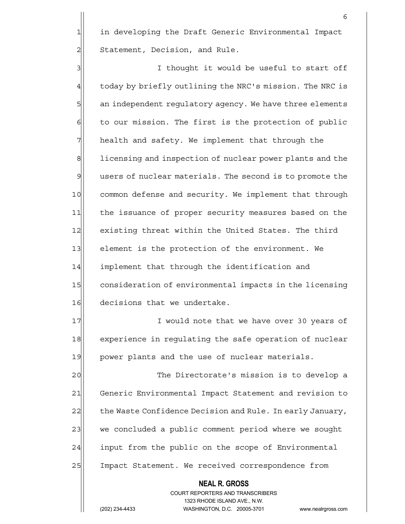1 in developing the Draft Generic Environmental Impact 2 Statement, Decision, and Rule.

3 3 3 I thought it would be useful to start off  $4$  today by briefly outlining the NRC's mission. The NRC is 5 5 5 5 b an independent regulatory agency. We have three elements  $6$  to our mission. The first is the protection of public  $7$  health and safety. We implement that through the 8 1 licensing and inspection of nuclear power plants and the  $9$  users of nuclear materials. The second is to promote the 10 common defense and security. We implement that through 11 the issuance of proper security measures based on the 12 existing threat within the United States. The third 13 element is the protection of the environment. We 14 implement that through the identification and 15 consideration of environmental impacts in the licensing 16 decisions that we undertake.

17 I would note that we have over 30 years of 18 experience in regulating the safe operation of nuclear 19 power plants and the use of nuclear materials.

20  $\vert$  20 The Directorate's mission is to develop a 21 Generic Environmental Impact Statement and revision to 22 the Waste Confidence Decision and Rule. In early January, 23 we concluded a public comment period where we sought 24 input from the public on the scope of Environmental 25 Impact Statement. We received correspondence from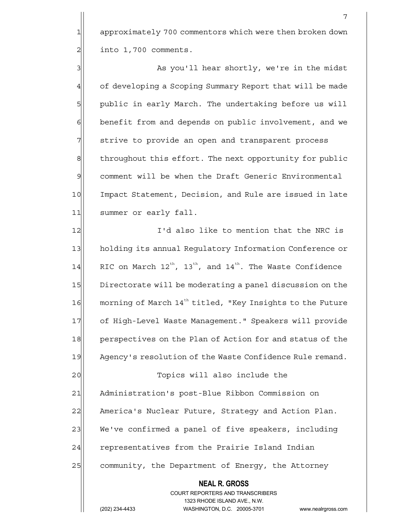1 approximately 700 commentors which were then broken down  $2 \mid$  into 1,700 comments.

3 As you'll hear shortly, we're in the midst 4 of developing a Scoping Summary Report that will be made 5 public in early March. The undertaking before us will 6 benefit from and depends on public involvement, and we 7 Strive to provide an open and transparent process 8 8 1 shroughout this effort. The next opportunity for public 9 comment will be when the Draft Generic Environmental 10 Impact Statement, Decision, and Rule are issued in late 11 summer or early fall.

12 I'd also like to mention that the NRC is 13 holding its annual Regulatory Information Conference or 14 RIC on March  $12^{th}$ ,  $13^{th}$ , and  $14^{th}$ . The Waste Confidence 15 Directorate will be moderating a panel discussion on the  $16$  morning of March  $14<sup>th</sup>$  titled, "Key Insights to the Future 17 of High-Level Waste Management." Speakers will provide 18 perspectives on the Plan of Action for and status of the 19 Agency's resolution of the Waste Confidence Rule remand. 20 | Topics will also include the 21 Administration's post-Blue Ribbon Commission on

22 America's Nuclear Future, Strategy and Action Plan. 23 We've confirmed a panel of five speakers, including 24 representatives from the Prairie Island Indian 25 community, the Department of Energy, the Attorney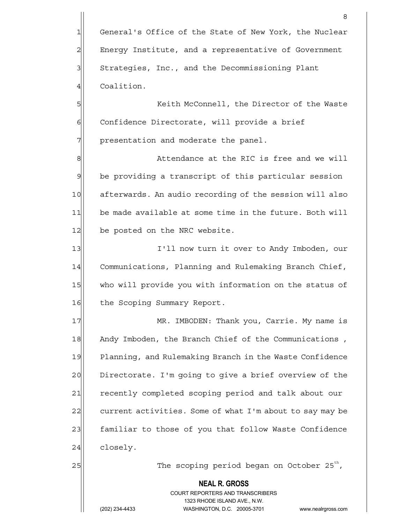1 General's Office of the State of New York, the Nuclear 2 Energy Institute, and a representative of Government 3 Strategies, Inc., and the Decommissioning Plant 4 Coalition.

5 S 6 Confidence Directorate, will provide a brief  $7$  presentation and moderate the panel.

8 8 8 Attendance at the RIC is free and we will  $9$  be providing a transcript of this particular session 10 afterwards. An audio recording of the session will also 11 be made available at some time in the future. Both will 12 be posted on the NRC website.

13 I'll now turn it over to Andy Imboden, our 14 Communications, Planning and Rulemaking Branch Chief, 15 who will provide you with information on the status of 16 the Scoping Summary Report.

17 MR. IMBODEN: Thank you, Carrie. My name is 18 Andy Imboden, the Branch Chief of the Communications, 19 Planning, and Rulemaking Branch in the Waste Confidence 20 Directorate. I'm going to give a brief overview of the 21 recently completed scoping period and talk about our 22 current activities. Some of what I'm about to say may be 23 familiar to those of you that follow Waste Confidence 24 closely.

 $25$  The scoping period began on October 25<sup>th</sup>,

### **NEAL R. GROSS**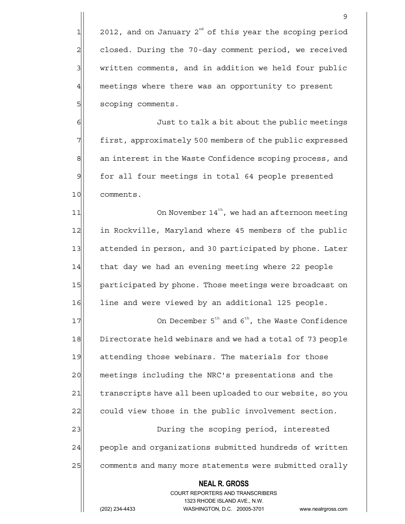$1$  2012, and on January 2<sup>nd</sup> of this year the scoping period 2 closed. During the 70-day comment period, we received  $3$  written comments, and in addition we held four public 4 meetings where there was an opportunity to present 5| scoping comments.

6 6 Just to talk a bit about the public meetings 7 first, approximately 500 members of the public expressed 8 an interest in the Waste Confidence scoping process, and 9 for all four meetings in total 64 people presented 10 comments.

 $11$  0n November  $14^{th}$ , we had an afternoon meeting 12 in Rockville, Maryland where 45 members of the public 13 attended in person, and 30 participated by phone. Later 14 that day we had an evening meeting where 22 people 15 participated by phone. Those meetings were broadcast on 16 line and were viewed by an additional 125 people.

 **NEAL R. GROSS**  $17$  On December 5<sup>th</sup> and 6<sup>th</sup>, the Waste Confidence 18 Directorate held webinars and we had a total of 73 people 19 attending those webinars. The materials for those 20 meetings including the NRC's presentations and the 21 transcripts have all been uploaded to our website, so you 22 could view those in the public involvement section. 23 During the scoping period, interested 24 people and organizations submitted hundreds of written 25 comments and many more statements were submitted orally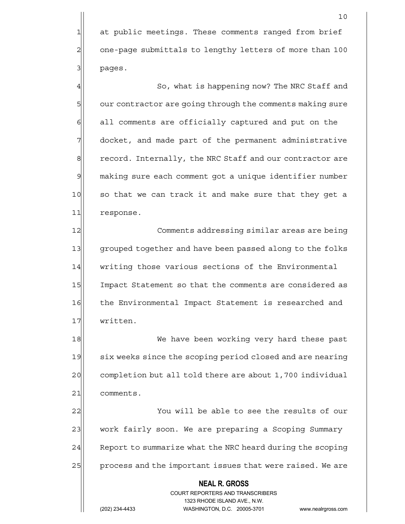4  $\parallel$  So, what is happening now? The NRC Staff and 5 5 our contractor are going through the comments making sure 6 6 6 6 all comments are officially captured and put on the 7 docket, and made part of the permanent administrative 8 record. Internally, the NRC Staff and our contractor are 9| making sure each comment got a unique identifier number 10 so that we can track it and make sure that they get a 11 response.

12 Comments addressing similar areas are being 13 grouped together and have been passed along to the folks 14 writing those various sections of the Environmental 15 Impact Statement so that the comments are considered as 16 the Environmental Impact Statement is researched and 17 written.

18 We have been working very hard these past 19 six weeks since the scoping period closed and are nearing 20 completion but all told there are about 1,700 individual 21 comments.

22 You will be able to see the results of our 23 work fairly soon. We are preparing a Scoping Summary 24 Report to summarize what the NRC heard during the scoping 25 process and the important issues that were raised. We are

## **NEAL R. GROSS** COURT REPORTERS AND TRANSCRIBERS 1323 RHODE ISLAND AVE., N.W.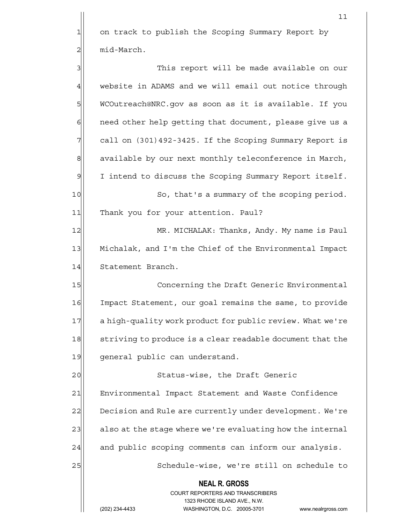$1$  on track to publish the Scoping Summary Report by  $2 \parallel$  mid-March.

 $11$ 

| 3  | This report will be made available on our                                                                                                                              |
|----|------------------------------------------------------------------------------------------------------------------------------------------------------------------------|
| 4  | website in ADAMS and we will email out notice through                                                                                                                  |
| 5  | WCOutreach@NRC.gov as soon as it is available. If you                                                                                                                  |
| 6  | need other help getting that document, please give us a                                                                                                                |
| 7  | call on (301)492-3425. If the Scoping Summary Report is                                                                                                                |
| 8  | available by our next monthly teleconference in March,                                                                                                                 |
| 9  | I intend to discuss the Scoping Summary Report itself.                                                                                                                 |
| 10 | So, that's a summary of the scoping period.                                                                                                                            |
| 11 | Thank you for your attention. Paul?                                                                                                                                    |
| 12 | MR. MICHALAK: Thanks, Andy. My name is Paul                                                                                                                            |
| 13 | Michalak, and I'm the Chief of the Environmental Impact                                                                                                                |
| 14 | Statement Branch.                                                                                                                                                      |
| 15 | Concerning the Draft Generic Environmental                                                                                                                             |
| 16 | Impact Statement, our goal remains the same, to provide                                                                                                                |
| 17 | a high-quality work product for public review. What we're                                                                                                              |
| 18 | striving to produce is a clear readable document that the                                                                                                              |
| 19 | general public can understand.                                                                                                                                         |
| 20 | Status-wise, the Draft Generic                                                                                                                                         |
| 21 | Environmental Impact Statement and Waste Confidence                                                                                                                    |
| 22 | Decision and Rule are currently under development. We're                                                                                                               |
| 23 | also at the stage where we're evaluating how the internal                                                                                                              |
| 24 | and public scoping comments can inform our analysis.                                                                                                                   |
| 25 | Schedule-wise, we're still on schedule to                                                                                                                              |
|    | <b>NEAL R. GROSS</b><br><b>COURT REPORTERS AND TRANSCRIBERS</b><br>1323 RHODE ISLAND AVE., N.W.<br>(202) 234-4433<br>WASHINGTON, D.C. 20005-3701<br>www.nealrgross.com |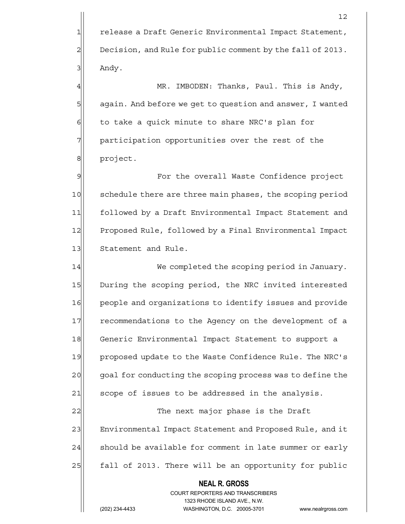1 release a Draft Generic Environmental Impact Statement, 2 Decision, and Rule for public comment by the fall of 2013.  $3$  Andy.

4 MR. IMBODEN: Thanks, Paul. This is Andy, 5 5 5 5 again. And before we get to question and answer, I wanted  $6$  to take a quick minute to share NRC's plan for  $7$  participation opportunities over the rest of the 8 | project.

9 **For the overall Waste Confidence project** 10 schedule there are three main phases, the scoping period 11 followed by a Draft Environmental Impact Statement and 12 Proposed Rule, followed by a Final Environmental Impact 13 Statement and Rule.

14 We completed the scoping period in January. 15 During the scoping period, the NRC invited interested 16 people and organizations to identify issues and provide 17 recommendations to the Agency on the development of a 18 Generic Environmental Impact Statement to support a 19 proposed update to the Waste Confidence Rule. The NRC's 20 goal for conducting the scoping process was to define the  $21$  scope of issues to be addressed in the analysis.

22 and 22 The next major phase is the Draft 23 Environmental Impact Statement and Proposed Rule, and it  $24$  should be available for comment in late summer or early 25 | fall of 2013. There will be an opportunity for public

 **NEAL R. GROSS**

 COURT REPORTERS AND TRANSCRIBERS 1323 RHODE ISLAND AVE., N.W.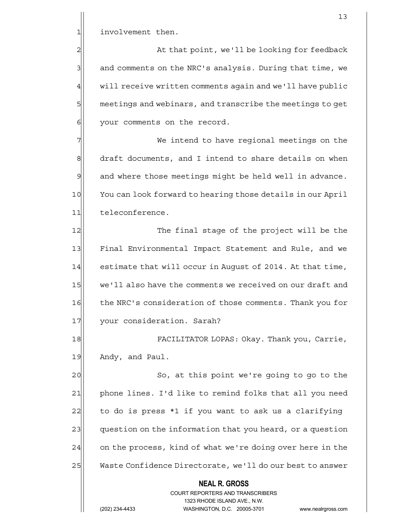1 involvement then.

2 all that point, we'll be looking for feedback 3 and comments on the NRC's analysis. During that time, we  $4$  will receive written comments again and we'll have public 5  $\vert$  meetings and webinars, and transcribe the meetings to get 6 | your comments on the record.

7 We intend to have regional meetings on the 8 draft documents, and I intend to share details on when  $9$  and where those meetings might be held well in advance. 10 You can look forward to hearing those details in our April 11 teleconference.

12 The final stage of the project will be the 13 Final Environmental Impact Statement and Rule, and we 14 estimate that will occur in August of 2014. At that time, 15 we'll also have the comments we received on our draft and 16 the NRC's consideration of those comments. Thank you for 17 your consideration. Sarah?

18 FACILITATOR LOPAS: Okay. Thank you, Carrie, 19 Andy, and Paul.

20 So, at this point we're going to go to the 21 phone lines. I'd like to remind folks that all you need 22 $\vert$  to do is press \*1 if you want to ask us a clarifying 23 question on the information that you heard, or a question 24 on the process, kind of what we're doing over here in the 25 Waste Confidence Directorate, we'll do our best to answer

## **NEAL R. GROSS**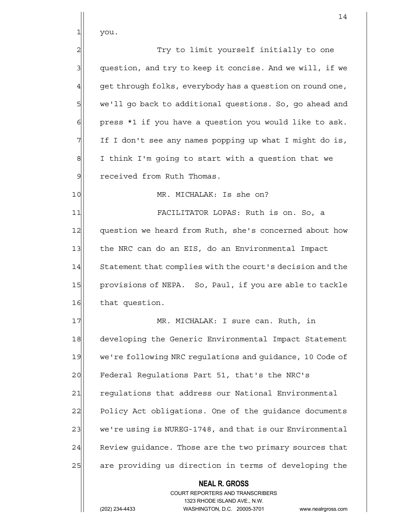$1$  you.

2 Try to limit yourself initially to one  $3$  question, and try to keep it concise. And we will, if we  $4$  get through folks, everybody has a question on round one, 5 we'll go back to additional questions. So, go ahead and  $6$  press \*1 if you have a question you would like to ask. 7 If I don't see any names popping up what I might do is,  $8$  I think I'm going to start with a question that we 9 received from Ruth Thomas. 10 MR. MICHALAK: Is she on?

11 FACILITATOR LOPAS: Ruth is on. So, a 12 question we heard from Ruth, she's concerned about how 13 the NRC can do an EIS, do an Environmental Impact 14 Statement that complies with the court's decision and the 15 provisions of NEPA. So, Paul, if you are able to tackle 16 that question.

17 MR. MICHALAK: I sure can. Ruth, in 18 developing the Generic Environmental Impact Statement 19 we're following NRC regulations and quidance, 10 Code of 20 Federal Requlations Part 51, that's the NRC's 21 regulations that address our National Environmental 22 Policy Act obligations. One of the guidance documents 23 we're using is NUREG-1748, and that is our Environmental 24 Review guidance. Those are the two primary sources that 25 are providing us direction in terms of developing the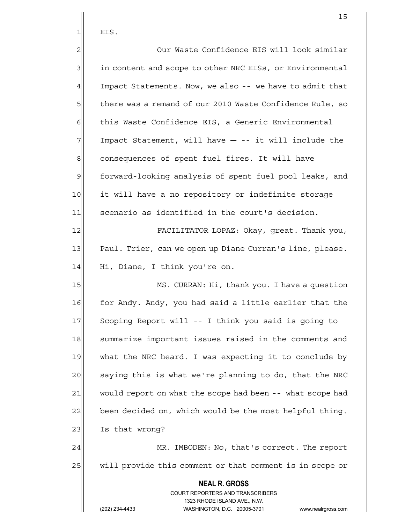$1$  EIS.

 **NEAL R. GROSS** COURT REPORTERS AND TRANSCRIBERS 1323 RHODE ISLAND AVE., N.W. (202) 234-4433 WASHINGTON, D.C. 20005-3701 www.nealrgross.com 2 | Our Waste Confidence EIS will look similar 3| in content and scope to other NRC EISs, or Environmental  $4$  Impact Statements. Now, we also -- we have to admit that 5 there was a remand of our 2010 Waste Confidence Rule, so 6 this Waste Confidence EIS, a Generic Environmental  $7$  Impact Statement, will have  $-$  -- it will include the 8 consequences of spent fuel fires. It will have 9 forward-looking analysis of spent fuel pool leaks, and 10 it will have a no repository or indefinite storage 11 scenario as identified in the court's decision. 12 FACILITATOR LOPAZ: Okay, great. Thank you, 13 Paul. Trier, can we open up Diane Curran's line, please. 14 Hi, Diane, I think you're on. 15 MS. CURRAN: Hi, thank you. I have a question 16 for Andy. Andy, you had said a little earlier that the 17 Scoping Report will -- I think you said is going to 18 Summarize important issues raised in the comments and 19 what the NRC heard. I was expecting it to conclude by 20 saying this is what we're planning to do, that the NRC 21 would report on what the scope had been -- what scope had 22 been decided on, which would be the most helpful thing. 23 Is that wrong? 24 MR. IMBODEN: No, that's correct. The report 25 will provide this comment or that comment is in scope or

15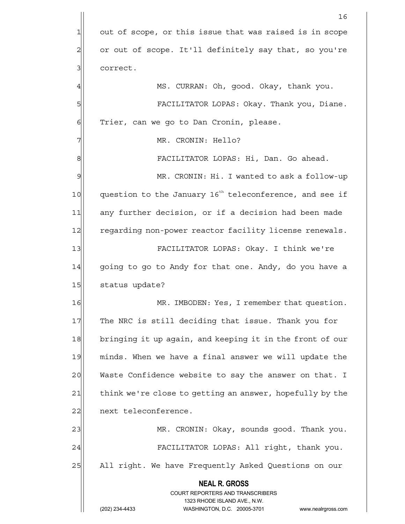|    | 16                                                                                                  |
|----|-----------------------------------------------------------------------------------------------------|
| 1  | out of scope, or this issue that was raised is in scope                                             |
| 2  | or out of scope. It'll definitely say that, so you're                                               |
| 3  | correct.                                                                                            |
| 4  | MS. CURRAN: Oh, good. Okay, thank you.                                                              |
| 5  | FACILITATOR LOPAS: Okay. Thank you, Diane.                                                          |
| 6  | Trier, can we go to Dan Cronin, please.                                                             |
|    | MR. CRONIN: Hello?                                                                                  |
| 8  | FACILITATOR LOPAS: Hi, Dan. Go ahead.                                                               |
| 9  | MR. CRONIN: Hi. I wanted to ask a follow-up                                                         |
| 10 | question to the January 16 <sup>th</sup> teleconference, and see if                                 |
| 11 | any further decision, or if a decision had been made                                                |
| 12 | regarding non-power reactor facility license renewals.                                              |
| 13 | FACILITATOR LOPAS: Okay. I think we're                                                              |
| 14 | going to go to Andy for that one. Andy, do you have a                                               |
| 15 | status update?                                                                                      |
| 16 | MR. IMBODEN: Yes, I remember that question.                                                         |
| 17 | The NRC is still deciding that issue. Thank you for                                                 |
| 18 | bringing it up again, and keeping it in the front of our                                            |
| 19 | minds. When we have a final answer we will update the                                               |
| 20 | Waste Confidence website to say the answer on that. I                                               |
| 21 | think we're close to getting an answer, hopefully by the                                            |
| 22 | next teleconference.                                                                                |
| 23 | MR. CRONIN: Okay, sounds good. Thank you.                                                           |
| 24 | FACILITATOR LOPAS: All right, thank you.                                                            |
| 25 | All right. We have Frequently Asked Questions on our                                                |
|    | <b>NEAL R. GROSS</b>                                                                                |
|    | <b>COURT REPORTERS AND TRANSCRIBERS</b>                                                             |
|    | 1323 RHODE ISLAND AVE., N.W.<br>(202) 234-4433<br>WASHINGTON, D.C. 20005-3701<br>www.nealrgross.com |
|    |                                                                                                     |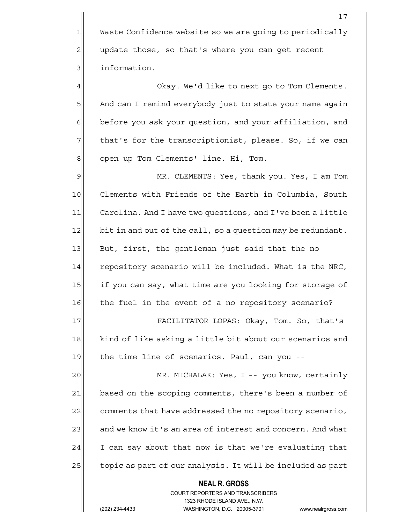1 Waste Confidence website so we are going to periodically  $2$  update those, so that's where you can get recent 31 information.

4 degree of  $\alpha$  okay. We'd like to next go to Tom Clements. 5 And can I remind everybody just to state your name again 6 before you ask your question, and your affiliation, and  $7$  that's for the transcriptionist, please. So, if we can 8 | open up Tom Clements' line. Hi, Tom.

9 MR. CLEMENTS: Yes, thank you. Yes, I am Tom 10 Clements with Friends of the Earth in Columbia, South 11 Carolina. And I have two questions, and I've been a little 12 bit in and out of the call, so a question may be redundant. 13 But, first, the gentleman just said that the no 14 repository scenario will be included. What is the NRC, 15 if you can say, what time are you looking for storage of 16 the fuel in the event of a no repository scenario?

17 FACILITATOR LOPAS: Okay, Tom. So, that's 18 kind of like asking a little bit about our scenarios and 19 the time line of scenarios. Paul, can you --

20 MR. MICHALAK: Yes, I -- you know, certainly 21 based on the scoping comments, there's been a number of 22 comments that have addressed the no repository scenario, 23 and we know it's an area of interest and concern. And what  $24$  I can say about that now is that we're evaluating that 25 topic as part of our analysis. It will be included as part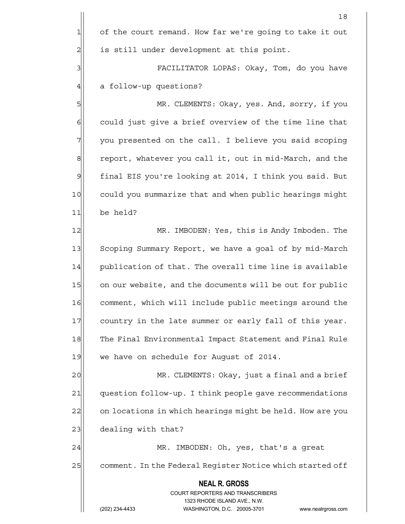|                | 18                                                        |
|----------------|-----------------------------------------------------------|
| 1              | of the court remand. How far we're going to take it out   |
| $\overline{2}$ | is still under development at this point.                 |
| 3              | FACILITATOR LOPAS: Okay, Tom, do you have                 |
| 4              | a follow-up questions?                                    |
| 5              | MR. CLEMENTS: Okay, yes. And, sorry, if you               |
| 6              | could just give a brief overview of the time line that    |
| 7              | you presented on the call. I believe you said scoping     |
| 8              | report, whatever you call it, out in mid-March, and the   |
| $\mathcal{Q}$  | final EIS you're looking at 2014, I think you said. But   |
| 10             | could you summarize that and when public hearings might   |
| 11             | be held?                                                  |
| 12             | MR. IMBODEN: Yes, this is Andy Imboden. The               |
| 13             | Scoping Summary Report, we have a goal of by mid-March    |
| 14             | publication of that. The overall time line is available   |
| 15             | on our website, and the documents will be out for public  |
| 16             | comment, which will include public meetings around the    |
| 17             | country in the late summer or early fall of this year.    |
| 18             | The Final Environmental Impact Statement and Final Rule   |
| 19             | we have on schedule for August of 2014.                   |
| 20             | MR. CLEMENTS: Okay, just a final and a brief              |
| 21             | question follow-up. I think people gave recommendations   |
| 22             | on locations in which hearings might be held. How are you |
| 23             | dealing with that?                                        |

24 MR. IMBODEN: Oh, yes, that's a great 25 comment. In the Federal Register Notice which started off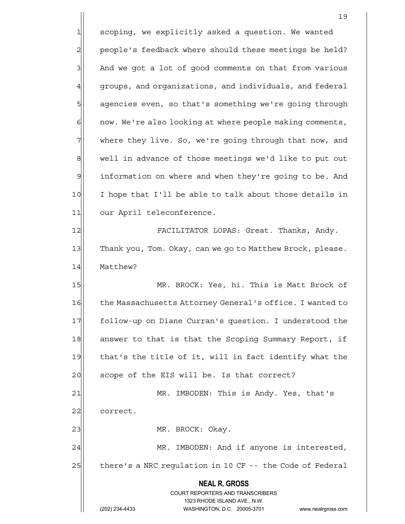**NEAL R. GROSS** COURT REPORTERS AND TRANSCRIBERS 1323 RHODE ISLAND AVE., N.W. 19 1 scoping, we explicitly asked a question. We wanted 2 people's feedback where should these meetings be held?  $3$  And we got a lot of good comments on that from various  $4$  groups, and organizations, and individuals, and federal 5 | agencies even, so that's something we're going through 6 6 10 now. We're also looking at where people making comments, 7 Where they live. So, we're going through that now, and 8 well in advance of those meetings we'd like to put out 9 information on where and when they're going to be. And 10 I hope that I'll be able to talk about those details in 11 our April teleconference. 12 FACILITATOR LOPAS: Great. Thanks, Andy. 13 Thank you, Tom. Okay, can we go to Matthew Brock, please. 14 Matthew? 15 MR. BROCK: Yes, hi. This is Matt Brock of 16 the Massachusetts Attorney General's office. I wanted to 17 follow-up on Diane Curran's question. I understood the 18 answer to that is that the Scoping Summary Report, if 19 | that's the title of it, will in fact identify what the 20 scope of the EIS will be. Is that correct? 21 MR. IMBODEN: This is Andy. Yes, that's 22 correct. 23 | MR. BROCK: Okay. 24 MR. IMBODEN: And if anyone is interested, 25 there's a NRC regulation in 10 CF -- the Code of Federal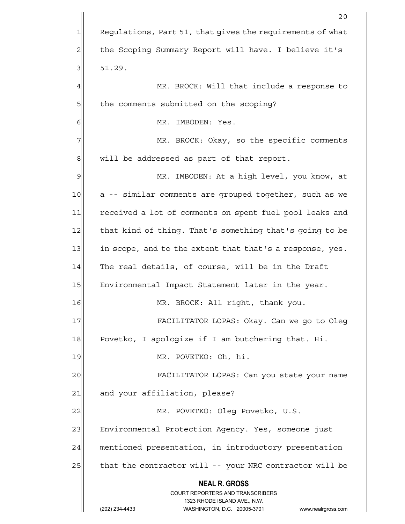|    | 20                                                                                                  |
|----|-----------------------------------------------------------------------------------------------------|
| 1  | Regulations, Part 51, that gives the requirements of what                                           |
| 2  | the Scoping Summary Report will have. I believe it's                                                |
| 3  | 51.29.                                                                                              |
| 4  | MR. BROCK: Will that include a response to                                                          |
| 5  | the comments submitted on the scoping?                                                              |
| 6  | MR. IMBODEN: Yes.                                                                                   |
| 7  | MR. BROCK: Okay, so the specific comments                                                           |
| 8  | will be addressed as part of that report.                                                           |
| 9  | MR. IMBODEN: At a high level, you know, at                                                          |
| 10 | a -- similar comments are grouped together, such as we                                              |
| 11 | received a lot of comments on spent fuel pool leaks and                                             |
| 12 | that kind of thing. That's something that's going to be                                             |
| 13 | in scope, and to the extent that that's a response, yes.                                            |
| 14 | The real details, of course, will be in the Draft                                                   |
| 15 | Environmental Impact Statement later in the year.                                                   |
| 16 | MR. BROCK: All right, thank you.                                                                    |
| 17 | FACILITATOR LOPAS: Okay. Can we go to Oleg                                                          |
| 18 | Povetko, I apologize if I am butchering that. Hi.                                                   |
| 19 | MR. POVETKO: Oh, hi.                                                                                |
| 20 | FACILITATOR LOPAS: Can you state your name                                                          |
| 21 | and your affiliation, please?                                                                       |
| 22 | MR. POVETKO: Oleg Povetko, U.S.                                                                     |
| 23 | Environmental Protection Agency. Yes, someone just                                                  |
| 24 | mentioned presentation, in introductory presentation                                                |
| 25 | that the contractor will -- your NRC contractor will be                                             |
|    | <b>NEAL R. GROSS</b>                                                                                |
|    | <b>COURT REPORTERS AND TRANSCRIBERS</b>                                                             |
|    | 1323 RHODE ISLAND AVE., N.W.<br>(202) 234-4433<br>WASHINGTON, D.C. 20005-3701<br>www.nealrgross.com |
|    |                                                                                                     |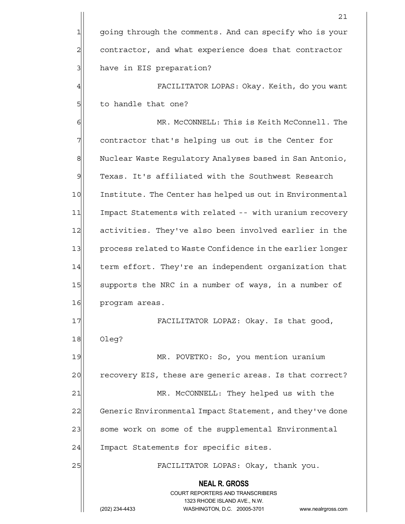**NEAL R. GROSS** COURT REPORTERS AND TRANSCRIBERS 1323 RHODE ISLAND AVE., N.W. (202) 234-4433 WASHINGTON, D.C. 20005-3701 www.nealrgross.com 21 1 going through the comments. And can specify who is your 2 contractor, and what experience does that contractor 3 | have in EIS preparation? 4 FACILITATOR LOPAS: Okay. Keith, do you want 5 5 5 5 5 5 5 to handle that one? 6 MR. McCONNELL: This is Keith McConnell. The  $7$  contractor that's helping us out is the Center for 8 Nuclear Waste Regulatory Analyses based in San Antonio, 9 Texas. It's affiliated with the Southwest Research 10 Institute. The Center has helped us out in Environmental 11 Impact Statements with related -- with uranium recovery 12 activities. They've also been involved earlier in the 13 process related to Waste Confidence in the earlier longer 14 term effort. They're an independent organization that 15 | supports the NRC in a number of ways, in a number of 16 program areas. 17| FACILITATOR LOPAZ: Okay. Is that good, 18 Oleg? 19 MR. POVETKO: So, you mention uranium 20 recovery EIS, these are generic areas. Is that correct? 21 MR. McCONNELL: They helped us with the 22 Generic Environmental Impact Statement, and they've done 23 | some work on some of the supplemental Environmental 24 Impact Statements for specific sites. 25 | FACILITATOR LOPAS: Okay, thank you.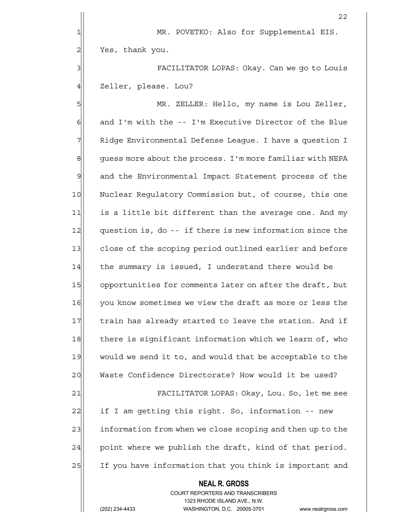**NEAL R. GROSS** <u>22</u> 1 MR. POVETKO: Also for Supplemental EIS. 2| Yes, thank you. 3 | Shepher College FACILITATOR LOPAS: Okay. Can we go to Louis 4 Zeller, please. Lou? 5 MR. ZELLER: Hello, my name is Lou Zeller, 6| and I'm with the -- I'm Executive Director of the Blue 7 Ridge Environmental Defense League. I have a question I 8 guess more about the process. I'm more familiar with NEPA 9 and the Environmental Impact Statement process of the 10 Nuclear Regulatory Commission but, of course, this one 11 is a little bit different than the average one. And my 12 question is, do -- if there is new information since the 13 close of the scoping period outlined earlier and before 14 the summary is issued, I understand there would be 15 opportunities for comments later on after the draft, but 16 you know sometimes we view the draft as more or less the 17 train has already started to leave the station. And if 18 there is significant information which we learn of, who 19 would we send it to, and would that be acceptable to the 20 Waste Confidence Directorate? How would it be used? 21 FACILITATOR LOPAS: Okay, Lou. So, let me see 22 if I am getting this right. So, information -- new 23 information from when we close scoping and then up to the  $24$  point where we publish the draft, kind of that period. 25 If you have information that you think is important and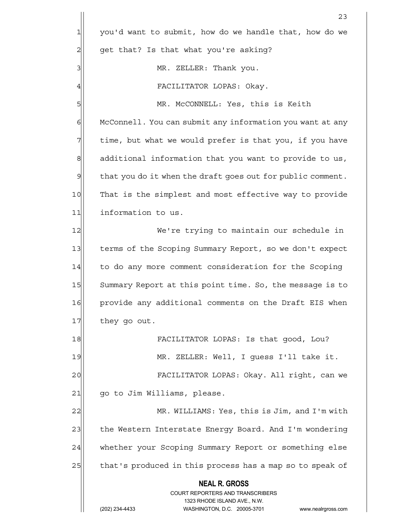|               | 23                                                                                              |
|---------------|-------------------------------------------------------------------------------------------------|
| $\mathbf{1}$  | you'd want to submit, how do we handle that, how do we                                          |
| 2             | get that? Is that what you're asking?                                                           |
| 3             | MR. ZELLER: Thank you.                                                                          |
| 4             | FACILITATOR LOPAS: Okay.                                                                        |
| 5             | MR. McCONNELL: Yes, this is Keith                                                               |
| 6             | McConnell. You can submit any information you want at any                                       |
| 7             | time, but what we would prefer is that you, if you have                                         |
| 8             | additional information that you want to provide to us,                                          |
| $\mathcal{Q}$ | that you do it when the draft goes out for public comment.                                      |
| 10            | That is the simplest and most effective way to provide                                          |
| 11            | information to us.                                                                              |
| 12            | We're trying to maintain our schedule in                                                        |
| 13            | terms of the Scoping Summary Report, so we don't expect                                         |
| 14            | to do any more comment consideration for the Scoping                                            |
| 15            | Summary Report at this point time. So, the message is to                                        |
| 16            | provide any additional comments on the Draft EIS when                                           |
| 17            | they go out.                                                                                    |
| 18            | FACILITATOR LOPAS: Is that good, Lou?                                                           |
| 19            | MR. ZELLER: Well, I guess I'll take it.                                                         |
| 20            | FACILITATOR LOPAS: Okay. All right, can we                                                      |
| 21            | go to Jim Williams, please.                                                                     |
| 22            | MR. WILLIAMS: Yes, this is Jim, and I'm with                                                    |
| 23            | the Western Interstate Energy Board. And I'm wondering                                          |
| 24            | whether your Scoping Summary Report or something else                                           |
| 25            | that's produced in this process has a map so to speak of                                        |
|               | <b>NEAL R. GROSS</b><br><b>COURT REPORTERS AND TRANSCRIBERS</b><br>1323 RHODE ISLAND AVE., N.W. |
|               | WASHINGTON, D.C. 20005-3701<br>(202) 234-4433<br>www.nealrgross.com                             |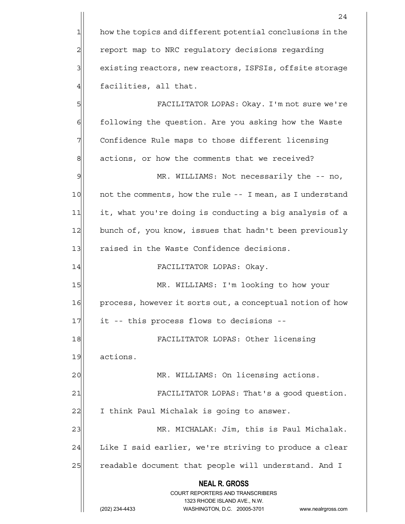1 how the topics and different potential conclusions in the 2 | report map to NRC regulatory decisions regarding 3 existing reactors, new reactors, ISFSIs, offsite storage  $4$  facilities, all that.

5 FACILITATOR LOPAS: Okay. I'm not sure we're 6 6 6 following the question. Are you asking how the Waste 7 Confidence Rule maps to those different licensing 8 actions, or how the comments that we received?

9 MR. WILLIAMS: Not necessarily the -- no, 10 10 not the comments, how the rule -- I mean, as I understand 11 it, what you're doing is conducting a big analysis of a 12 bunch of, you know, issues that hadn't been previously 13 raised in the Waste Confidence decisions.

14 FACILITATOR LOPAS: Okay.

15 MR. WILLIAMS: I'm looking to how your 16 process, however it sorts out, a conceptual notion of how 17 it -- this process flows to decisions --

18 FACILITATOR LOPAS: Other licensing

19 actions.

20 | MR. WILLIAMS: On licensing actions.

21 | FACILITATOR LOPAS: That's a good question.

22 I think Paul Michalak is going to answer.

23 MR. MICHALAK: Jim, this is Paul Michalak. 24 Like I said earlier, we're striving to produce a clear 25 readable document that people will understand. And I

 **NEAL R. GROSS**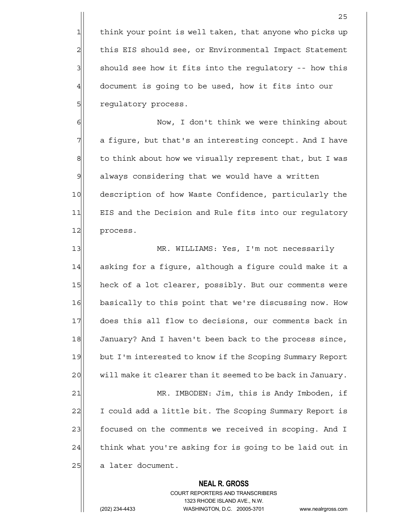1 think your point is well taken, that anyone who picks up 2 this EIS should see, or Environmental Impact Statement  $3$  should see how it fits into the regulatory -- how this  $4$  document is going to be used, how it fits into our 5 | regulatory process.

6| Now, I don't think we were thinking about 7| a figure, but that's an interesting concept. And I have  $8$  to think about how we visually represent that, but I was 9 always considering that we would have a written 10 description of how Waste Confidence, particularly the 11 EIS and the Decision and Rule fits into our regulatory 12 process.

13 MR. WILLIAMS: Yes, I'm not necessarily 14 asking for a figure, although a figure could make it a 15 heck of a lot clearer, possibly. But our comments were 16 basically to this point that we're discussing now. How 17 does this all flow to decisions, our comments back in 18 January? And I haven't been back to the process since, 19 but I'm interested to know if the Scoping Summary Report 20 will make it clearer than it seemed to be back in January. 21 MR. IMBODEN: Jim, this is Andy Imboden, if 22 I could add a little bit. The Scoping Summary Report is 23 | focused on the comments we received in scoping. And I  $24$  think what you're asking for is going to be laid out in 25 a later document.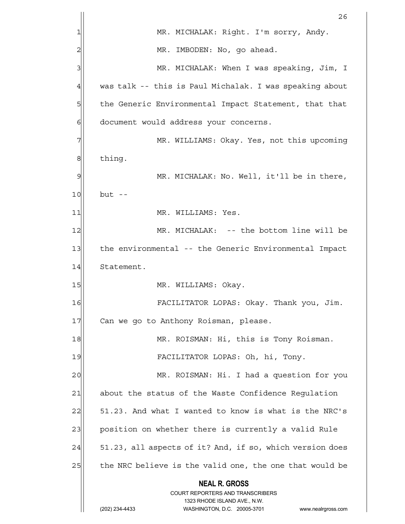|    | 26                                                                                                  |
|----|-----------------------------------------------------------------------------------------------------|
| 1  | MR. MICHALAK: Right. I'm sorry, Andy.                                                               |
| 2  | MR. IMBODEN: No, go ahead.                                                                          |
| 3  | MR. MICHALAK: When I was speaking, Jim, I                                                           |
| 4  | was talk -- this is Paul Michalak. I was speaking about                                             |
| 5  | the Generic Environmental Impact Statement, that that                                               |
| 6  | document would address your concerns.                                                               |
| 7  | MR. WILLIAMS: Okay. Yes, not this upcoming                                                          |
| 8  | thing.                                                                                              |
| 9  | MR. MICHALAK: No. Well, it'll be in there,                                                          |
| 10 | $but --$                                                                                            |
| 11 | MR. WILLIAMS: Yes.                                                                                  |
| 12 | MR. MICHALAK: -- the bottom line will be                                                            |
| 13 | the environmental -- the Generic Environmental Impact                                               |
| 14 | Statement.                                                                                          |
| 15 | MR. WILLIAMS: Okay.                                                                                 |
| 16 | FACILITATOR LOPAS: Okay. Thank you, Jim.                                                            |
| 17 | Can we go to Anthony Roisman, please.                                                               |
| 18 | MR. ROISMAN: Hi, this is Tony Roisman.                                                              |
| 19 | FACILITATOR LOPAS: Oh, hi, Tony.                                                                    |
| 20 | MR. ROISMAN: Hi. I had a question for you                                                           |
| 21 | about the status of the Waste Confidence Regulation                                                 |
| 22 | 51.23. And what I wanted to know is what is the NRC's                                               |
| 23 | position on whether there is currently a valid Rule                                                 |
| 24 | 51.23, all aspects of it? And, if so, which version does                                            |
| 25 | the NRC believe is the valid one, the one that would be                                             |
|    | <b>NEAL R. GROSS</b>                                                                                |
|    | COURT REPORTERS AND TRANSCRIBERS                                                                    |
|    | 1323 RHODE ISLAND AVE., N.W.<br>(202) 234-4433<br>WASHINGTON, D.C. 20005-3701<br>www.nealrgross.com |
|    |                                                                                                     |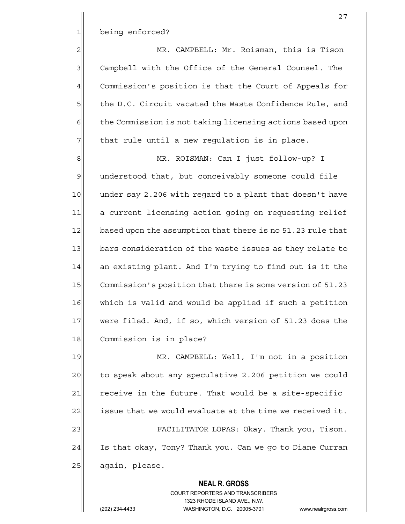1 being enforced?

2 MR. CAMPBELL: Mr. Roisman, this is Tison 3 Campbell with the Office of the General Counsel. The 4 Commission's position is that the Court of Appeals for 5 5 5 be D.C. Circuit vacated the Waste Confidence Rule, and  $6$  the Commission is not taking licensing actions based upon  $7$  that rule until a new regulation is in place.

8 | MR. ROISMAN: Can I just follow-up? I 9 understood that, but conceivably someone could file 10 under say 2.206 with regard to a plant that doesn't have 11 a current licensing action going on requesting relief 12 based upon the assumption that there is no 51.23 rule that 13 bars consideration of the waste issues as they relate to  $14$  an existing plant. And I'm trying to find out is it the 15 Commission's position that there is some version of 51.23 16 which is valid and would be applied if such a petition 17 were filed. And, if so, which version of 51.23 does the 18 Commission is in place?

19 MR. CAMPBELL: Well, I'm not in a position 20 to speak about any speculative 2.206 petition we could  $21$  receive in the future. That would be a site-specific 22 issue that we would evaluate at the time we received it. 23 FACILITATOR LOPAS: Okay. Thank you, Tison. 24 Is that okay, Tony? Thank you. Can we go to Diane Curran 25 again, please.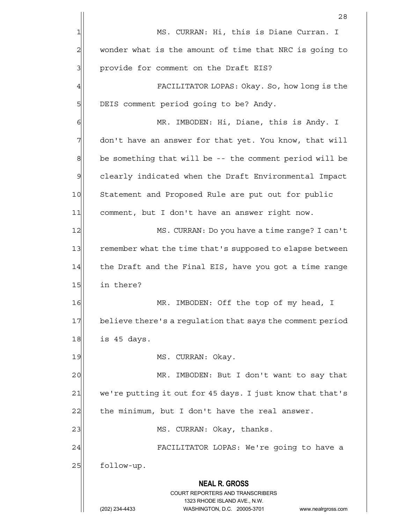|                | 28                                                                                                  |
|----------------|-----------------------------------------------------------------------------------------------------|
| 1              | MS. CURRAN: Hi, this is Diane Curran. I                                                             |
| $\overline{c}$ | wonder what is the amount of time that NRC is going to                                              |
| 3              | provide for comment on the Draft EIS?                                                               |
| 4              | FACILITATOR LOPAS: Okay. So, how long is the                                                        |
| 5              | DEIS comment period going to be? Andy.                                                              |
| 6              | MR. IMBODEN: Hi, Diane, this is Andy. I                                                             |
| 7              | don't have an answer for that yet. You know, that will                                              |
| 8              | be something that will be -- the comment period will be                                             |
| $\mathcal{Q}$  | clearly indicated when the Draft Environmental Impact                                               |
| 10             | Statement and Proposed Rule are put out for public                                                  |
| 11             | comment, but I don't have an answer right now.                                                      |
| 12             | MS. CURRAN: Do you have a time range? I can't                                                       |
| 13             | remember what the time that's supposed to elapse between                                            |
| 14             | the Draft and the Final EIS, have you got a time range                                              |
| 15             | in there?                                                                                           |
| 16             | IMBODEN: Off the top of my head, I<br>MR                                                            |
| 17             | believe there's a regulation that says the comment period                                           |
| 18             | is 45 days.                                                                                         |
| 19             | MS. CURRAN: Okay.                                                                                   |
| 20             | MR. IMBODEN: But I don't want to say that                                                           |
| 21             | we're putting it out for 45 days. I just know that that's                                           |
| 22             | the minimum, but I don't have the real answer.                                                      |
| 23             | MS. CURRAN: Okay, thanks.                                                                           |
| 24             | FACILITATOR LOPAS: We're going to have a                                                            |
| 25             | follow-up.                                                                                          |
|                | <b>NEAL R. GROSS</b>                                                                                |
|                | <b>COURT REPORTERS AND TRANSCRIBERS</b>                                                             |
|                | 1323 RHODE ISLAND AVE., N.W.<br>(202) 234-4433<br>WASHINGTON, D.C. 20005-3701<br>www.nealrgross.com |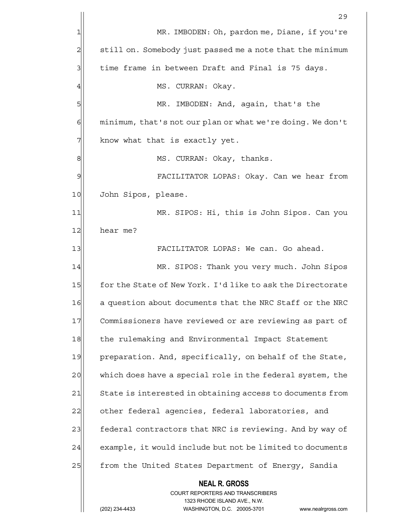|    | 29                                                                                              |
|----|-------------------------------------------------------------------------------------------------|
| 1  | MR. IMBODEN: Oh, pardon me, Diane, if you're                                                    |
| 2  | still on. Somebody just passed me a note that the minimum                                       |
| 3  | time frame in between Draft and Final is 75 days.                                               |
| 4  | MS. CURRAN: Okay.                                                                               |
| 5  | IMBODEN: And, again, that's the<br>MR.                                                          |
| 6  | minimum, that's not our plan or what we're doing. We don't                                      |
| 7  | know what that is exactly yet.                                                                  |
| 8  | MS. CURRAN: Okay, thanks.                                                                       |
| 9  | FACILITATOR LOPAS: Okay. Can we hear from                                                       |
| 10 | John Sipos, please.                                                                             |
| 11 | MR. SIPOS: Hi, this is John Sipos. Can you                                                      |
| 12 | hear me?                                                                                        |
| 13 | FACILITATOR LOPAS: We can. Go ahead.                                                            |
| 14 | MR. SIPOS: Thank you very much. John Sipos                                                      |
| 15 | for the State of New York. I'd like to ask the Directorate                                      |
| 16 | a question about documents that the NRC Staff or the NRC                                        |
| 17 | Commissioners have reviewed or are reviewing as part of                                         |
| 18 | the rulemaking and Environmental Impact Statement                                               |
| 19 | preparation. And, specifically, on behalf of the State,                                         |
| 20 | which does have a special role in the federal system, the                                       |
| 21 | State is interested in obtaining access to documents from                                       |
| 22 | other federal agencies, federal laboratories, and                                               |
| 23 | federal contractors that NRC is reviewing. And by way of                                        |
| 24 | example, it would include but not be limited to documents                                       |
| 25 | from the United States Department of Energy, Sandia                                             |
|    | <b>NEAL R. GROSS</b><br><b>COURT REPORTERS AND TRANSCRIBERS</b><br>1323 RHODE ISLAND AVE., N.W. |
|    | (202) 234-4433<br>WASHINGTON, D.C. 20005-3701<br>www.nealrgross.com                             |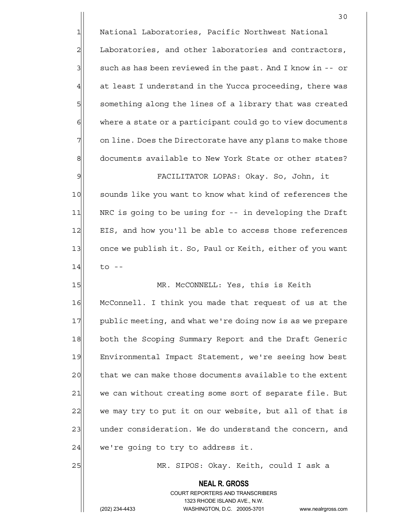1 National Laboratories, Pacific Northwest National 2 Laboratories, and other laboratories and contractors,  $3$  such as has been reviewed in the past. And I know in -- or  $4$  at least I understand in the Yucca proceeding, there was 5 something along the lines of a library that was created  $6$  where a state or a participant could go to view documents  $7$  on line. Does the Directorate have any plans to make those 8 8 documents available to New York State or other states? 9 FACILITATOR LOPAS: Okay. So, John, it

10 | sounds like you want to know what kind of references the 11 NRC is going to be using for -- in developing the Draft 12 EIS, and how you'll be able to access those references 13 once we publish it. So, Paul or Keith, either of you want  $14$  to  $-$ 

15 MR. McCONNELL: Yes, this is Keith 16 McConnell. I think you made that request of us at the 17 public meeting, and what we're doing now is as we prepare 18 both the Scoping Summary Report and the Draft Generic 19 Environmental Impact Statement, we're seeing how best 20 that we can make those documents available to the extent 21 we can without creating some sort of separate file. But 22 we may try to put it on our website, but all of that is 23 under consideration. We do understand the concern, and  $24$  we're going to try to address it.

25 MR. SIPOS: Okay. Keith, could I ask a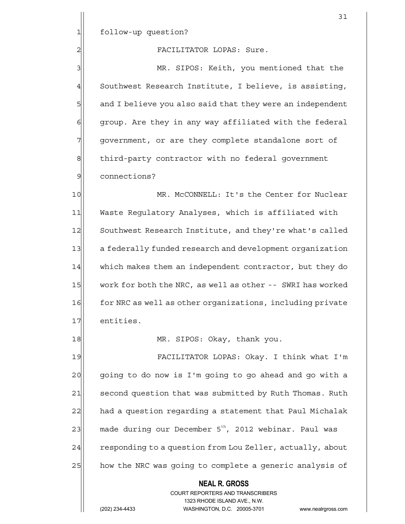## 2 | TACILITATOR LOPAS: Sure.

3 MR. SIPOS: Keith, you mentioned that the 4 Southwest Research Institute, I believe, is assisting, 5 5 5 5 believe you also said that they were an independent 6 group. Are they in any way affiliated with the federal 7 government, or are they complete standalone sort of 8 8 third-party contractor with no federal government 9 connections?

10 | MR. McCONNELL: It's the Center for Nuclear 11 Waste Regulatory Analyses, which is affiliated with 12 Southwest Research Institute, and they're what's called 13 a federally funded research and development organization 14 which makes them an independent contractor, but they do 15 work for both the NRC, as well as other -- SWRI has worked 16 for NRC as well as other organizations, including private 17 entities.

18 MR. SIPOS: Okay, thank you.

19 FACILITATOR LOPAS: Okay. I think what I'm 20 going to do now is I'm going to go ahead and go with a 21 second question that was submitted by Ruth Thomas. Ruth 22 had a question regarding a statement that Paul Michalak  $23$  made during our December 5<sup>th</sup>, 2012 webinar. Paul was 24 responding to a question from Lou Zeller, actually, about 25 how the NRC was going to complete a generic analysis of

### **NEAL R. GROSS**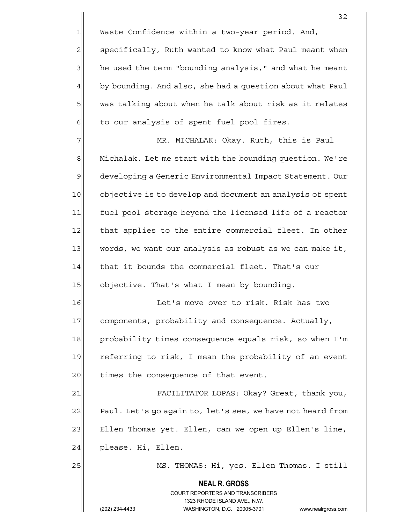$1$  Waste Confidence within a two-year period. And,

2 specifically, Ruth wanted to know what Paul meant when  $3$  he used the term "bounding analysis," and what he meant  $4\vert$  by bounding. And also, she had a question about what Paul 5| was talking about when he talk about risk as it relates  $6$  to our analysis of spent fuel pool fires.

7 MR. MICHALAK: Okay. Ruth, this is Paul 8 Michalak. Let me start with the bounding question. We're 9 developing a Generic Environmental Impact Statement. Our 10 objective is to develop and document an analysis of spent 11 fuel pool storage beyond the licensed life of a reactor 12 that applies to the entire commercial fleet. In other 13 words, we want our analysis as robust as we can make it, 14 that it bounds the commercial fleet. That's our 15 objective. That's what I mean by bounding.

16 16 Let's move over to risk. Risk has two 17 components, probability and consequence. Actually, 18 probability times consequence equals risk, so when I'm 19 referring to risk, I mean the probability of an event 20 times the consequence of that event.

21 FACILITATOR LOPAS: Okay? Great, thank you, 22 Paul. Let's go again to, let's see, we have not heard from 23 Ellen Thomas yet. Ellen, can we open up Ellen's line, 24 please. Hi, Ellen.

25 MS. THOMAS: Hi, yes. Ellen Thomas. I still

 **NEAL R. GROSS** COURT REPORTERS AND TRANSCRIBERS 1323 RHODE ISLAND AVE., N.W.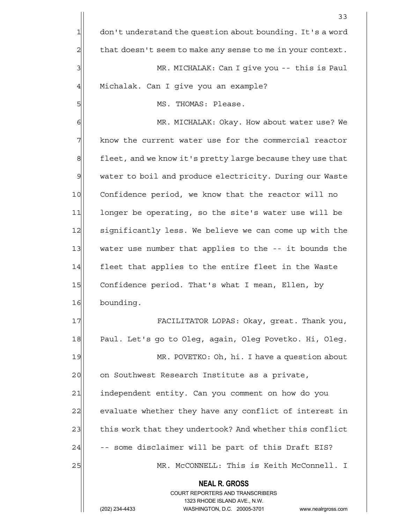**NEAL R. GROSS** COURT REPORTERS AND TRANSCRIBERS 1323 RHODE ISLAND AVE., N.W. (202) 234-4433 WASHINGTON, D.C. 20005-3701 www.nealrgross.com 33  $1$  don't understand the question about bounding. It's a word  $2$  that doesn't seem to make any sense to me in your context. 3 MR. MICHALAK: Can I give you -- this is Paul 4 | Michalak. Can I give you an example? 5| MS. THOMAS: Please. 6 6 MR. MICHALAK: Okay. How about water use? We 7 The know the current water use for the commercial reactor 8 8 fleet, and we know it's pretty large because they use that 9 water to boil and produce electricity. During our Waste 10 Confidence period, we know that the reactor will no 11 longer be operating, so the site's water use will be 12 significantly less. We believe we can come up with the 13 water use number that applies to the -- it bounds the 14 fleet that applies to the entire fleet in the Waste 15 Confidence period. That's what I mean, Ellen, by 16 bounding. 17 FACILITATOR LOPAS: Okay, great. Thank you, 18 Paul. Let's go to Oleg, again, Oleg Povetko. Hi, Oleg. 19 MR. POVETKO: Oh, hi. I have a question about 20 on Southwest Research Institute as a private, 21 independent entity. Can you comment on how do you 22 evaluate whether they have any conflict of interest in 23 this work that they undertook? And whether this conflict  $24$  -- some disclaimer will be part of this Draft EIS? 25 MR. McCONNELL: This is Keith McConnell. I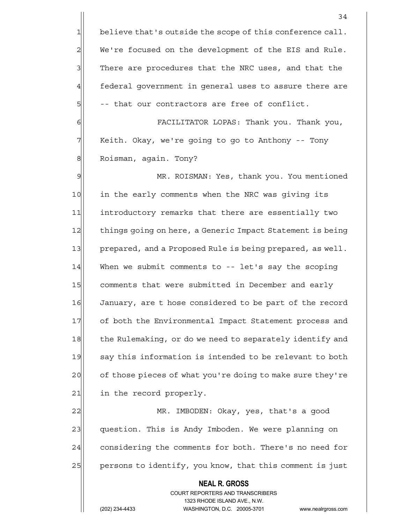**NEAL R. GROSS** COURT REPORTERS AND TRANSCRIBERS 34  $1$  believe that's outside the scope of this conference call.  $2$  We're focused on the development of the EIS and Rule. 3 There are procedures that the NRC uses, and that the 4 federal government in general uses to assure there are 5| -- that our contractors are free of conflict. 6 FACILITATOR LOPAS: Thank you. Thank you, 7 | Keith. Okay, we're going to go to Anthony -- Tony 8 | Roisman, again. Tony? 9 MR. ROISMAN: Yes, thank you. You mentioned 10 in the early comments when the NRC was giving its 11 introductory remarks that there are essentially two 12 things going on here, a Generic Impact Statement is being 13 prepared, and a Proposed Rule is being prepared, as well. 14 When we submit comments to -- let's say the scoping 15 comments that were submitted in December and early 16 January, are t hose considered to be part of the record 17 of both the Environmental Impact Statement process and 18 the Rulemaking, or do we need to separately identify and 19 say this information is intended to be relevant to both 20 cf those pieces of what you're doing to make sure they're 21 in the record properly. 22 MR. IMBODEN: Okay, yes, that's a good 23 question. This is Andy Imboden. We were planning on 24 considering the comments for both. There's no need for 25 persons to identify, you know, that this comment is just

1323 RHODE ISLAND AVE., N.W.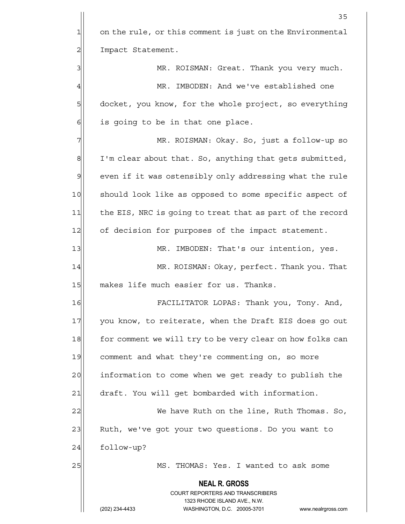1 on the rule, or this comment is just on the Environmental 2 | Impact Statement.

3 | MR. ROISMAN: Great. Thank you very much. 4 MR. IMBODEN: And we've established one 5 6 5 5 docket, you know, for the whole project, so everything  $6$  is going to be in that one place.

7 MR. ROISMAN: Okay. So, just a follow-up so  $8$  I'm clear about that. So, anything that gets submitted, 9 even if it was ostensibly only addressing what the rule 10 should look like as opposed to some specific aspect of 11 the EIS, NRC is going to treat that as part of the record 12 of decision for purposes of the impact statement.

13 MR. IMBODEN: That's our intention, yes.

14 MR. ROISMAN: Okay, perfect. Thank you. That 15 makes life much easier for us. Thanks.

16 FACILITATOR LOPAS: Thank you, Tony. And, 17 you know, to reiterate, when the Draft EIS does go out 18 for comment we will try to be very clear on how folks can 19 comment and what they're commenting on, so more 20 information to come when we get ready to publish the 21 draft. You will get bombarded with information.

22 We have Ruth on the line, Ruth Thomas. So, 23 Ruth, we've got your two questions. Do you want to  $24$  follow-up?

25 MS. THOMAS: Yes. I wanted to ask some

 **NEAL R. GROSS**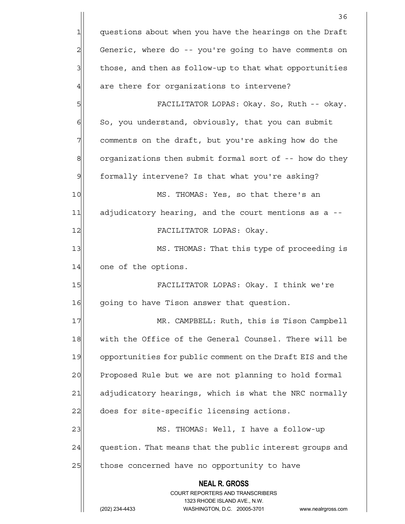|                | 36                                                                      |
|----------------|-------------------------------------------------------------------------|
| $\mathbf{1}$   | questions about when you have the hearings on the Draft                 |
| $\overline{c}$ | Generic, where do -- you're going to have comments on                   |
| 3              | those, and then as follow-up to that what opportunities                 |
| $\overline{4}$ | are there for organizations to intervene?                               |
| 5              | FACILITATOR LOPAS: Okay. So, Ruth -- okay.                              |
| $\epsilon$     | So, you understand, obviously, that you can submit                      |
| 7              | comments on the draft, but you're asking how do the                     |
| 8              | organizations then submit formal sort of -- how do they                 |
| $\overline{9}$ | formally intervene? Is that what you're asking?                         |
| 10             | MS. THOMAS: Yes, so that there's an                                     |
| 11             | adjudicatory hearing, and the court mentions as a --                    |
| 12             | FACILITATOR LOPAS: Okay.                                                |
| 13             | MS. THOMAS: That this type of proceeding is                             |
| 14             | one of the options.                                                     |
| 15             | FACILITATOR LOPAS: Okay. I think we're                                  |
| 16             | going to have Tison answer that question.                               |
| 17             | MR. CAMPBELL: Ruth, this is Tison Campbell                              |
| 18             | with the Office of the General Counsel. There will be                   |
| 19             | opportunities for public comment on the Draft EIS and the               |
| 20             | Proposed Rule but we are not planning to hold formal                    |
| 21             | adjudicatory hearings, which is what the NRC normally                   |
| 22             | does for site-specific licensing actions.                               |
| 23             | MS. THOMAS: Well, I have a follow-up                                    |
| 24             | question. That means that the public interest groups and                |
| 25             | those concerned have no opportunity to have                             |
|                | <b>NEAL R. GROSS</b>                                                    |
|                | <b>COURT REPORTERS AND TRANSCRIBERS</b><br>1323 RHODE ISLAND AVE., N.W. |
|                | WASHINGTON, D.C. 20005-3701<br>(202) 234-4433<br>www.nealrgross.com     |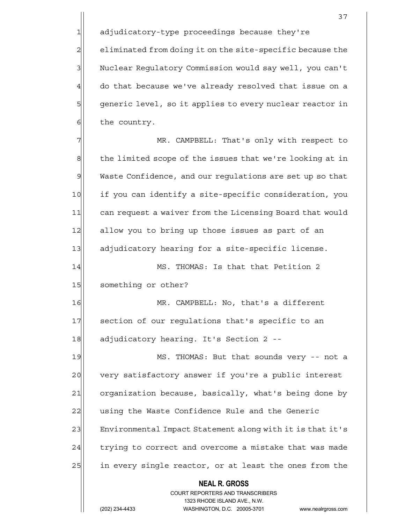1 adjudicatory-type proceedings because they're 2 eliminated from doing it on the site-specific because the 3 Nuclear Regulatory Commission would say well, you can't  $4$  do that because we've already resolved that issue on a 5 generic level, so it applies to every nuclear reactor in  $6$  the country.

7 MR. CAMPBELL: That's only with respect to 8 the limited scope of the issues that we're looking at in 9 Waste Confidence, and our regulations are set up so that 10 if you can identify a site-specific consideration, you 11| can request a waiver from the Licensing Board that would 12 allow you to bring up those issues as part of an 13 adjudicatory hearing for a site-specific license.

14 MS. THOMAS: Is that that Petition 2 15 something or other?

16 MR. CAMPBELL: No, that's a different 17 section of our regulations that's specific to an 18 adjudicatory hearing. It's Section 2 --

19 MS. THOMAS: But that sounds very -- not a 20 very satisfactory answer if you're a public interest 21 organization because, basically, what's being done by 22 using the Waste Confidence Rule and the Generic 23 Environmental Impact Statement along with it is that it's 24 trying to correct and overcome a mistake that was made 25 in every single reactor, or at least the ones from the

 **NEAL R. GROSS**

#### COURT REPORTERS AND TRANSCRIBERS 1323 RHODE ISLAND AVE., N.W.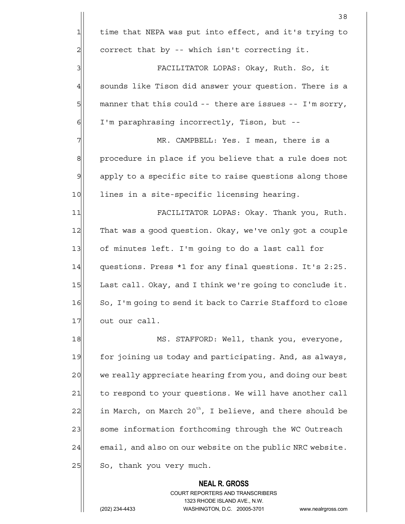**NEAL R. GROSS** <u>38</u> 1 time that NEPA was put into effect, and it's trying to  $2$  correct that by -- which isn't correcting it. 3 FACILITATOR LOPAS: Okay, Ruth. So, it  $4$  sounds like Tison did answer your question. There is a  $5$  manner that this could -- there are issues -- I'm sorry, 6| I'm paraphrasing incorrectly, Tison, but --7 MR. CAMPBELL: Yes. I mean, there is a 8 procedure in place if you believe that a rule does not 9 apply to a specific site to raise questions along those 10 lines in a site-specific licensing hearing. 11 FACILITATOR LOPAS: Okay. Thank you, Ruth. 12 That was a good question. Okay, we've only got a couple 13 of minutes left. I'm going to do a last call for 14 questions. Press \*1 for any final questions. It's 2:25. 15 Last call. Okay, and I think we're going to conclude it. 16 So, I'm going to send it back to Carrie Stafford to close 17 out our call. 18 MS. STAFFORD: Well, thank you, everyone, 19 for joining us today and participating. And, as always, 20 we really appreciate hearing from you, and doing our best 21 to respond to your questions. We will have another call  $22$  in March, on March 20<sup>th</sup>, I believe, and there should be 23 some information forthcoming through the WC Outreach 24 email, and also on our website on the public NRC website. 25 So, thank you very much.

> COURT REPORTERS AND TRANSCRIBERS 1323 RHODE ISLAND AVE., N.W.